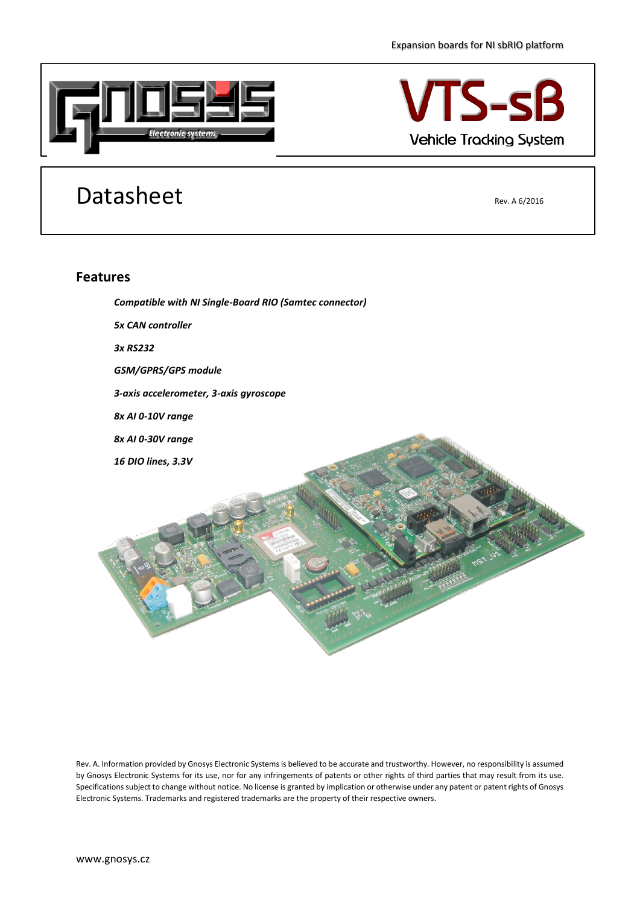

## **TS-sB Vehicle Tracking System**

## Datasheet Rev. A 6/2016

## **Features**



Rev. A. Information provided by Gnosys Electronic Systems is believed to be accurate and trustworthy. However, no responsibility is assumed by Gnosys Electronic Systems for its use, nor for any infringements of patents or other rights of third parties that may result from its use. Specifications subject to change without notice. No license is granted by implication or otherwise under any patent or patent rights of Gnosys Electronic Systems. Trademarks and registered trademarks are the property of their respective owners.